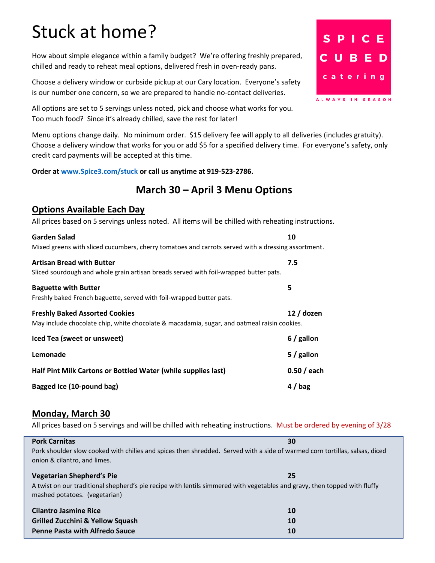# Stuck at home?

How about simple elegance within a family budget? We're offering freshly prepared, chilled and ready to reheat meal options, delivered fresh in oven-ready pans.

Choose a delivery window or curbside pickup at our Cary location. Everyone's safety is our number one concern, so we are prepared to handle no-contact deliveries.

All options are set to 5 servings unless noted, pick and choose what works for you. Too much food? Since it's already chilled, save the rest for later!

Menu options change daily. No minimum order. \$15 delivery fee will apply to all deliveries (includes gratuity). Choose a delivery window that works for you or add \$5 for a specified delivery time. For everyone's safety, only credit card payments will be accepted at this time.

**Order at [www.Spice3.com/stuck](http://www.spice3.com/stuck) or call us anytime at 919-523-2786.**

# **March 30 – April 3 Menu Options**

#### **Options Available Each Day**

All prices based on 5 servings unless noted. All items will be chilled with reheating instructions.

| Garden Salad                                                                                       | 10           |  |
|----------------------------------------------------------------------------------------------------|--------------|--|
| Mixed greens with sliced cucumbers, cherry tomatoes and carrots served with a dressing assortment. |              |  |
| <b>Artisan Bread with Butter</b>                                                                   | 7.5          |  |
| Sliced sourdough and whole grain artisan breads served with foil-wrapped butter pats.              |              |  |
| <b>Baguette with Butter</b>                                                                        | 5            |  |
| Freshly baked French baguette, served with foil-wrapped butter pats.                               |              |  |
| <b>Freshly Baked Assorted Cookies</b>                                                              | 12 / dozen   |  |
| May include chocolate chip, white chocolate & macadamia, sugar, and oatmeal raisin cookies.        |              |  |
| Iced Tea (sweet or unsweet)                                                                        | $6/$ gallon  |  |
| Lemonade                                                                                           | $5/$ gallon  |  |
| Half Pint Milk Cartons or Bottled Water (while supplies last)                                      | $0.50/$ each |  |
| Bagged Ice (10-pound bag)                                                                          | $4/$ bag     |  |

#### **Monday, March 30**

All prices based on 5 servings and will be chilled with reheating instructions. Must be ordered by evening of 3/28

| <b>Pork Carnitas</b>                                                                                                                                        | 30        |
|-------------------------------------------------------------------------------------------------------------------------------------------------------------|-----------|
| Pork shoulder slow cooked with chilies and spices then shredded. Served with a side of warmed corn tortillas, salsas, diced<br>onion & cilantro, and limes. |           |
| <b>Vegetarian Shepherd's Pie</b>                                                                                                                            | 25        |
| A twist on our traditional shepherd's pie recipe with lentils simmered with vegetables and gravy, then topped with fluffy<br>mashed potatoes. (vegetarian)  |           |
| <b>Cilantro Jasmine Rice</b>                                                                                                                                | <b>10</b> |
| <b>Grilled Zucchini &amp; Yellow Squash</b>                                                                                                                 | <b>10</b> |
| <b>Penne Pasta with Alfredo Sauce</b>                                                                                                                       | 10        |